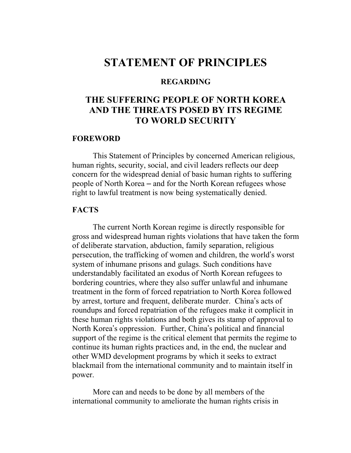# STATEMENT OF PRINCIPLES

#### REGARDING

## THE SUFFERING PEOPLE OF NORTH KOREA AND THE THREATS POSED BY ITS REGIME TO WORLD SECURITY

#### FOREWORD

 This Statement of Principles by concerned American religious, human rights, security, social, and civil leaders reflects our deep concern for the widespread denial of basic human rights to suffering people of North Korea – and for the North Korean refugees whose right to lawful treatment is now being systematically denied.

#### **FACTS**

 The current North Korean regime is directly responsible for gross and widespread human rights violations that have taken the form of deliberate starvation, abduction, family separation, religious persecution, the trafficking of women and children, the world's worst system of inhumane prisons and gulags. Such conditions have understandably facilitated an exodus of North Korean refugees to bordering countries, where they also suffer unlawful and inhumane treatment in the form of forced repatriation to North Korea followed by arrest, torture and frequent, deliberate murder. China's acts of roundups and forced repatriation of the refugees make it complicit in these human rights violations and both gives its stamp of approval to North Korea's oppression. Further, China's political and financial support of the regime is the critical element that permits the regime to continue its human rights practices and, in the end, the nuclear and other WMD development programs by which it seeks to extract blackmail from the international community and to maintain itself in power.

 More can and needs to be done by all members of the international community to ameliorate the human rights crisis in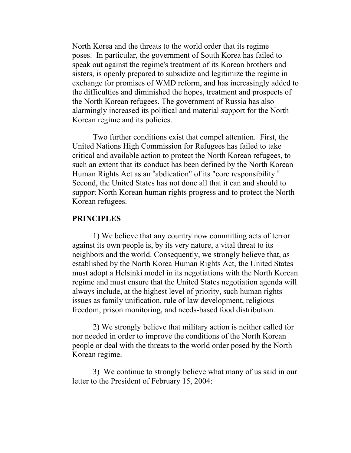North Korea and the threats to the world order that its regime poses. In particular, the government of South Korea has failed to speak out against the regime's treatment of its Korean brothers and sisters, is openly prepared to subsidize and legitimize the regime in exchange for promises of WMD reform, and has increasingly added to the difficulties and diminished the hopes, treatment and prospects of the North Korean refugees. The government of Russia has also alarmingly increased its political and material support for the North Korean regime and its policies.

 Two further conditions exist that compel attention. First, the United Nations High Commission for Refugees has failed to take critical and available action to protect the North Korean refugees, to such an extent that its conduct has been defined by the North Korean Human Rights Act as an "abdication" of its "core responsibility." Second, the United States has not done all that it can and should to support North Korean human rights progress and to protect the North Korean refugees.

#### PRINCIPLES

 1) We believe that any country now committing acts of terror against its own people is, by its very nature, a vital threat to its neighbors and the world. Consequently, we strongly believe that, as established by the North Korea Human Rights Act, the United States must adopt a Helsinki model in its negotiations with the North Korean regime and must ensure that the United States negotiation agenda will always include, at the highest level of priority, such human rights issues as family unification, rule of law development, religious freedom, prison monitoring, and needs-based food distribution.

 2) We strongly believe that military action is neither called for nor needed in order to improve the conditions of the North Korean people or deal with the threats to the world order posed by the North Korean regime.

 3) We continue to strongly believe what many of us said in our letter to the President of February 15, 2004: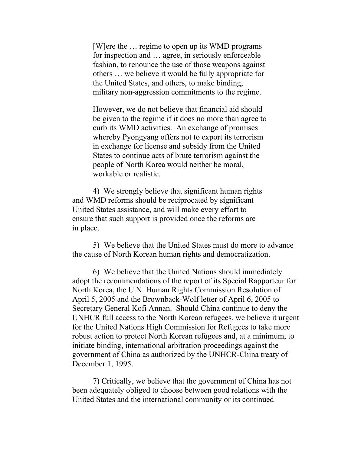[W]ere the … regime to open up its WMD programs for inspection and … agree, in seriously enforceable fashion, to renounce the use of those weapons against others … we believe it would be fully appropriate for the United States, and others, to make binding, military non-aggression commitments to the regime.

However, we do not believe that financial aid should be given to the regime if it does no more than agree to curb its WMD activities. An exchange of promises whereby Pyongyang offers not to export its terrorism in exchange for license and subsidy from the United States to continue acts of brute terrorism against the people of North Korea would neither be moral, workable or realistic.

 4) We strongly believe that significant human rights and WMD reforms should be reciprocated by significant United States assistance, and will make every effort to ensure that such support is provided once the reforms are in place.

 5) We believe that the United States must do more to advance the cause of North Korean human rights and democratization.

 6) We believe that the United Nations should immediately adopt the recommendations of the report of its Special Rapporteur for North Korea, the U.N. Human Rights Commission Resolution of April 5, 2005 and the Brownback-Wolf letter of April 6, 2005 to Secretary General Kofi Annan. Should China continue to deny the UNHCR full access to the North Korean refugees, we believe it urgent for the United Nations High Commission for Refugees to take more robust action to protect North Korean refugees and, at a minimum, to initiate binding, international arbitration proceedings against the government of China as authorized by the UNHCR-China treaty of December 1, 1995.

 7) Critically, we believe that the government of China has not been adequately obliged to choose between good relations with the United States and the international community or its continued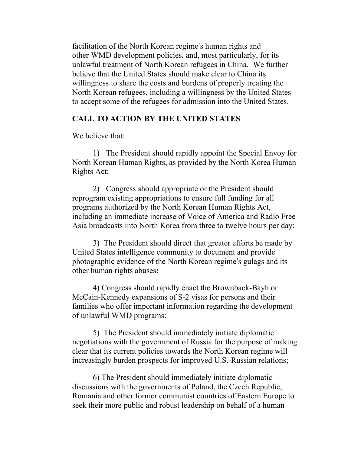facilitation of the North Korean regime's human rights and other WMD development policies, and, most particularly, for its unlawful treatment of North Korean refugees in China. We further believe that the United States should make clear to China its willingness to share the costs and burdens of properly treating the North Korean refugees, including a willingness by the United States to accept some of the refugees for admission into the United States.

### CALL TO ACTION BY THE UNITED STATES

We believe that:

 1) The President should rapidly appoint the Special Envoy for North Korean Human Rights, as provided by the North Korea Human Rights Act;

 2) Congress should appropriate or the President should reprogram existing appropriations to ensure full funding for all programs authorized by the North Korean Human Rights Act, including an immediate increase of Voice of America and Radio Free Asia broadcasts into North Korea from three to twelve hours per day;

 3) The President should direct that greater efforts be made by United States intelligence community to document and provide photographic evidence of the North Korean regime's gulags and its other human rights abuses;

4) Congress should rapidly enact the Brownback-Bayh or McCain-Kennedy expansions of S-2 visas for persons and their families who offer important information regarding the development of unlawful WMD programs:

 5) The President should immediately initiate diplomatic negotiations with the government of Russia for the purpose of making clear that its current policies towards the North Korean regime will increasingly burden prospects for improved U.S.-Russian relations;

 6) The President should immediately initiate diplomatic discussions with the governments of Poland, the Czech Republic, Romania and other former communist countries of Eastern Europe to seek their more public and robust leadership on behalf of a human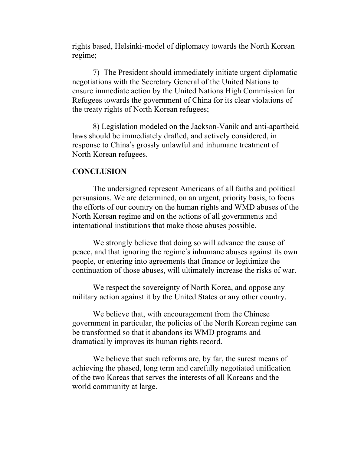rights based, Helsinki-model of diplomacy towards the North Korean regime;

 7) The President should immediately initiate urgent diplomatic negotiations with the Secretary General of the United Nations to ensure immediate action by the United Nations High Commission for Refugees towards the government of China for its clear violations of the treaty rights of North Korean refugees;

 8) Legislation modeled on the Jackson-Vanik and anti-apartheid laws should be immediately drafted, and actively considered, in response to China's grossly unlawful and inhumane treatment of North Korean refugees.

#### **CONCLUSION**

 The undersigned represent Americans of all faiths and political persuasions. We are determined, on an urgent, priority basis, to focus the efforts of our country on the human rights and WMD abuses of the North Korean regime and on the actions of all governments and international institutions that make those abuses possible.

We strongly believe that doing so will advance the cause of peace, and that ignoring the regime's inhumane abuses against its own people, or entering into agreements that finance or legitimize the continuation of those abuses, will ultimately increase the risks of war.

We respect the sovereignty of North Korea, and oppose any military action against it by the United States or any other country.

 We believe that, with encouragement from the Chinese government in particular, the policies of the North Korean regime can be transformed so that it abandons its WMD programs and dramatically improves its human rights record.

We believe that such reforms are, by far, the surest means of achieving the phased, long term and carefully negotiated unification of the two Koreas that serves the interests of all Koreans and the world community at large.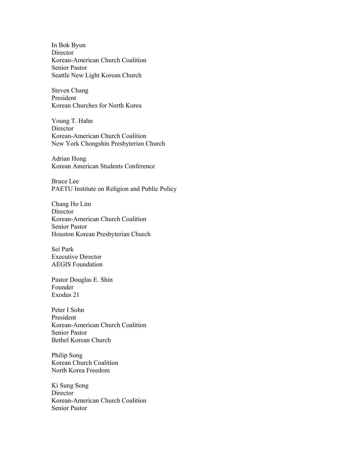In Bok Byun Director Korean-American Church Coalition Senior Pastor Seattle New Light Korean Church

Steven Chang President Korean Churches for North Korea

Young T. Hahn **Director** Korean-American Church Coalition New York Chongshin Presbyterian Church

Adrian Hong Korean American Students Conference

Bruce Lee PAETU Institute on Religion and Public Policy

Chang Ho Lim **Director** Korean-American Church Coalition Senior Pastor Houston Korean Presbyterian Church

Sei Park Executive Director AEGIS Foundation

Pastor Douglas E. Shin Founder Exodus 21

Peter I Sohn President Korean-American Church Coalition Senior Pastor Bethel Korean Church

Philip Song Korean Church Coalition North Korea Freedom

Ki Sung Song **Director** Korean-American Church Coalition Senior Pastor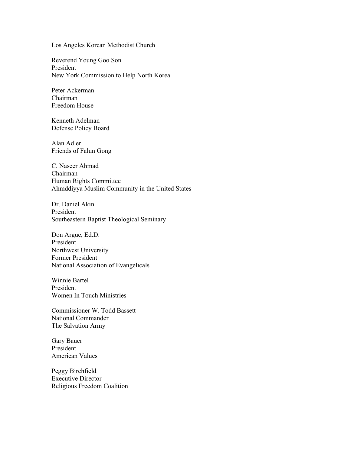Los Angeles Korean Methodist Church

Reverend Young Goo Son President New York Commission to Help North Korea

Peter Ackerman Chairman Freedom House

Kenneth Adelman Defense Policy Board

Alan Adler Friends of Falun Gong

C. Naseer Ahmad Chairman Human Rights Committee Ahmddiyya Muslim Community in the United States

Dr. Daniel Akin President Southeastern Baptist Theological Seminary

Don Argue, Ed.D. President Northwest University Former President National Association of Evangelicals

Winnie Bartel President Women In Touch Ministries

Commissioner W. Todd Bassett National Commander The Salvation Army

Gary Bauer President American Values

Peggy Birchfield Executive Director Religious Freedom Coalition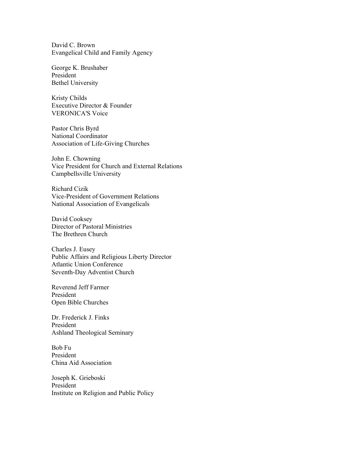David C. Brown Evangelical Child and Family Agency

George K. Brushaber President Bethel University

Kristy Childs Executive Director & Founder VERONICA'S Voice

Pastor Chris Byrd National Coordinator Association of Life-Giving Churches

John E. Chowning Vice President for Church and External Relations Campbellsville University

Richard Cizik Vice-President of Government Relations National Association of Evangelicals

David Cooksey Director of Pastoral Ministries The Brethren Church

Charles J. Eusey Public Affairs and Religious Liberty Director Atlantic Union Conference Seventh-Day Adventist Church

Reverend Jeff Farmer President Open Bible Churches

Dr. Frederick J. Finks President Ashland Theological Seminary

Bob Fu President China Aid Association

Joseph K. Grieboski President Institute on Religion and Public Policy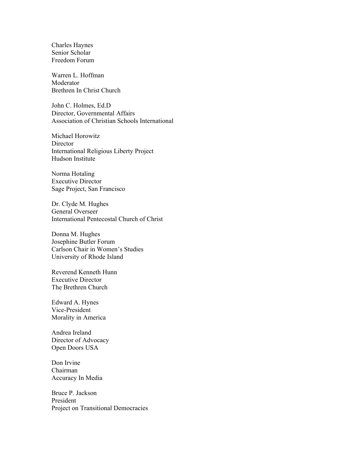Charles Haynes Senior Scholar Freedom Forum

Warren L. Hoffman Moderator Brethren In Christ Church

John C. Holmes, Ed.D Director, Governmental Affairs Association of Christian Schools International

Michael Horowitz Director International Religious Liberty Project Hudson Institute

Norma Hotaling Executive Director Sage Project, San Francisco

Dr. Clyde M. Hughes General Overseer International Pentecostal Church of Christ

Donna M. Hughes Josephine Butler Forum Carlson Chair in Women's Studies University of Rhode Island

Reverend Kenneth Hunn Executive Director The Brethren Church

Edward A. Hynes Vice-President Morality in America

Andrea Ireland Director of Advocacy Open Doors USA

Don Irvine Chairman Accuracy In Media

Bruce P. Jackson President Project on Transitional Democracies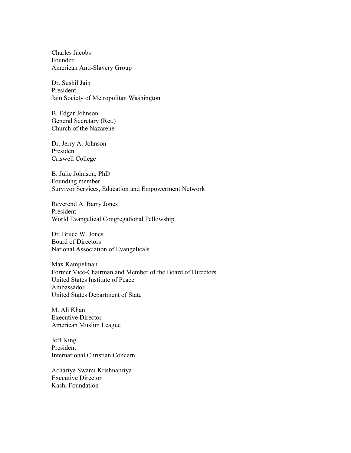Charles Jacobs Founder American Anti-Slavery Group

Dr. Sushil Jain President Jain Society of Metropolitan Washington

B. Edgar Johnson General Secretary (Ret.) Church of the Nazarene

Dr. Jerry A. Johnson President Criswell College

B. Julie Johnson, PhD Founding member Survivor Services, Education and Empowerment Network

Reverend A. Barry Jones President World Evangelical Congregational Fellowship

Dr. Bruce W. Jones Board of Directors National Association of Evangelicals

Max Kampelman Former Vice-Chairman and Member of the Board of Directors United States Institute of Peace Ambassador United States Department of State

M. Ali Khan Executive Director American Muslim League

Jeff King President International Christian Concern

Achariya Swami Krishnapriya Executive Director Kashi Foundation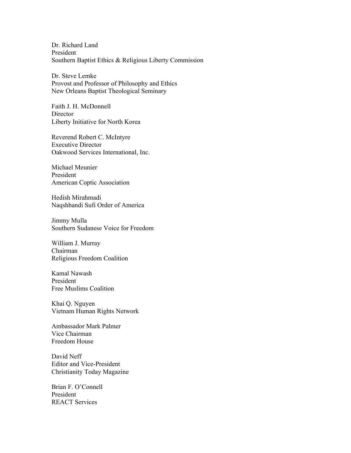Dr. Richard Land President Southern Baptist Ethics & Religious Liberty Commission

Dr. Steve Lemke Provost and Professor of Philosophy and Ethics New Orleans Baptist Theological Seminary

Faith J. H. McDonnell Director Liberty Initiative for North Korea

Reverend Robert C. McIntyre Executive Director Oakwood Services International, Inc.

Michael Meunier President American Coptic Association

Hedish Mirahmadi Naqshbandi Sufi Order of America

Jimmy Mulla Southern Sudanese Voice for Freedom

William J. Murray Chairman Religious Freedom Coalition

Kamal Nawash President Free Muslims Coalition

Khai Q. Nguyen Vietnam Human Rights Network

Ambassador Mark Palmer Vice Chairman Freedom House

David Neff Editor and Vice-President Christianity Today Magazine

Brian F. O'Connell President REACT Services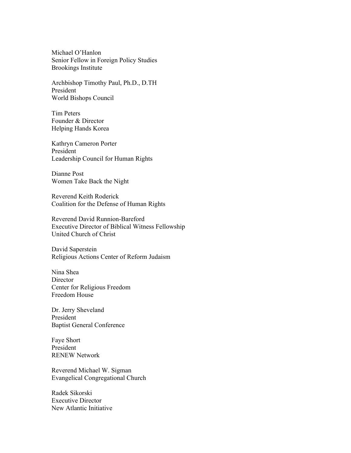Michael O'Hanlon Senior Fellow in Foreign Policy Studies Brookings Institute

Archbishop Timothy Paul, Ph.D., D.TH President World Bishops Council

Tim Peters Founder & Director Helping Hands Korea

Kathryn Cameron Porter President Leadership Council for Human Rights

Dianne Post Women Take Back the Night

Reverend Keith Roderick Coalition for the Defense of Human Rights

Reverend David Runnion-Bareford Executive Director of Biblical Witness Fellowship United Church of Christ

David Saperstein Religious Actions Center of Reform Judaism

Nina Shea **Director** Center for Religious Freedom Freedom House

Dr. Jerry Sheveland President Baptist General Conference

Faye Short President RENEW Network

Reverend Michael W. Sigman Evangelical Congregational Church

Radek Sikorski Executive Director New Atlantic Initiative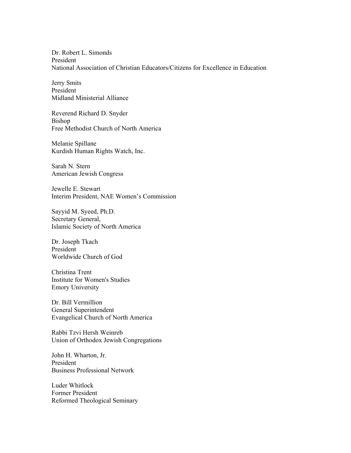Dr. Robert L. Simonds President National Association of Christian Educators/Citizens for Excellence in Education

Jerry Smits President Midland Ministerial Alliance

Reverend Richard D. Snyder Bishop Free Methodist Church of North America

Melanie Spillane Kurdish Human Rights Watch, Inc.

Sarah N. Stern American Jewish Congress

Jewelle E. Stewart Interim President, NAE Women's Commission

Sayyid M. Syeed, Ph.D. Secretary General, Islamic Society of North America

Dr. Joseph Tkach President Worldwide Church of God

Christina Trent Institute for Women's Studies Emory University

Dr. Bill Vermillion General Superintendent Evangelical Church of North America

Rabbi Tzvi Hersh Weinreb Union of Orthodox Jewish Congregations

John H. Wharton, Jr. President Business Professional Network

Luder Whitlock Former President Reformed Theological Seminary